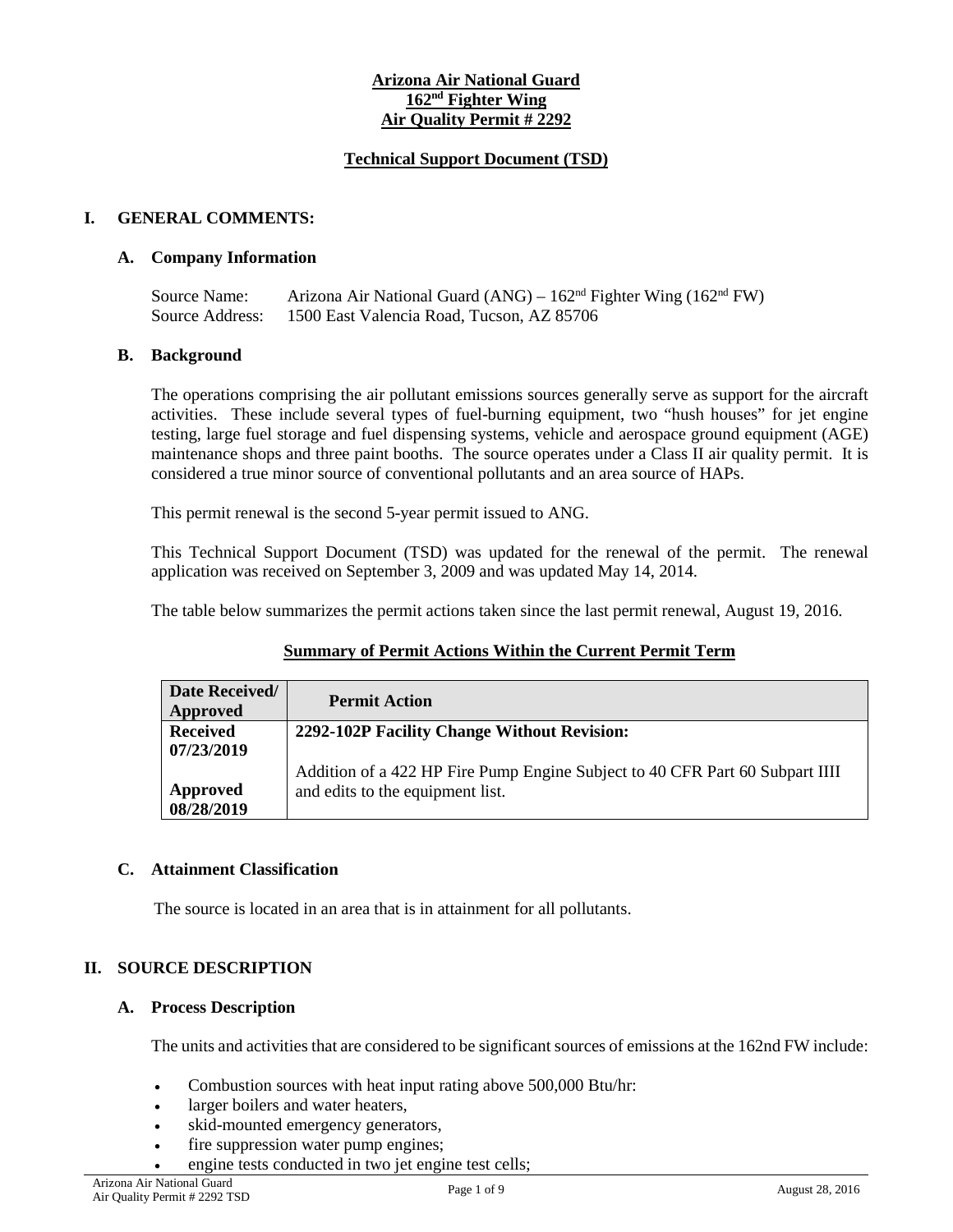#### **Arizona Air National Guard 162nd Fighter Wing Air Quality Permit # 2292**

#### **Technical Support Document (TSD)**

## **I. GENERAL COMMENTS:**

## **A. Company Information**

Source Name: Arizona Air National Guard (ANG) – 162nd Fighter Wing (162nd FW) Source Address: 1500 East Valencia Road, Tucson, AZ 85706

## **B. Background**

The operations comprising the air pollutant emissions sources generally serve as support for the aircraft activities. These include several types of fuel-burning equipment, two "hush houses" for jet engine testing, large fuel storage and fuel dispensing systems, vehicle and aerospace ground equipment (AGE) maintenance shops and three paint booths. The source operates under a Class II air quality permit. It is considered a true minor source of conventional pollutants and an area source of HAPs.

This permit renewal is the second 5-year permit issued to ANG.

This Technical Support Document (TSD) was updated for the renewal of the permit. The renewal application was received on September 3, 2009 and was updated May 14, 2014.

The table below summarizes the permit actions taken since the last permit renewal, August 19, 2016.

| Date Received/<br><b>Approved</b> | <b>Permit Action</b>                                                         |
|-----------------------------------|------------------------------------------------------------------------------|
| <b>Received</b>                   | 2292-102P Facility Change Without Revision:                                  |
| 07/23/2019                        |                                                                              |
|                                   | Addition of a 422 HP Fire Pump Engine Subject to 40 CFR Part 60 Subpart IIII |
| Approved                          | and edits to the equipment list.                                             |
| 08/28/2019                        |                                                                              |

#### **Summary of Permit Actions Within the Current Permit Term**

#### **C. Attainment Classification**

The source is located in an area that is in attainment for all pollutants.

## **II. SOURCE DESCRIPTION**

#### **A. Process Description**

The units and activities that are considered to be significant sources of emissions at the 162nd FW include:

- Combustion sources with heat input rating above 500,000 Btu/hr:
- larger boilers and water heaters,
- skid-mounted emergency generators,
- fire suppression water pump engines;
- engine tests conducted in two jet engine test cells;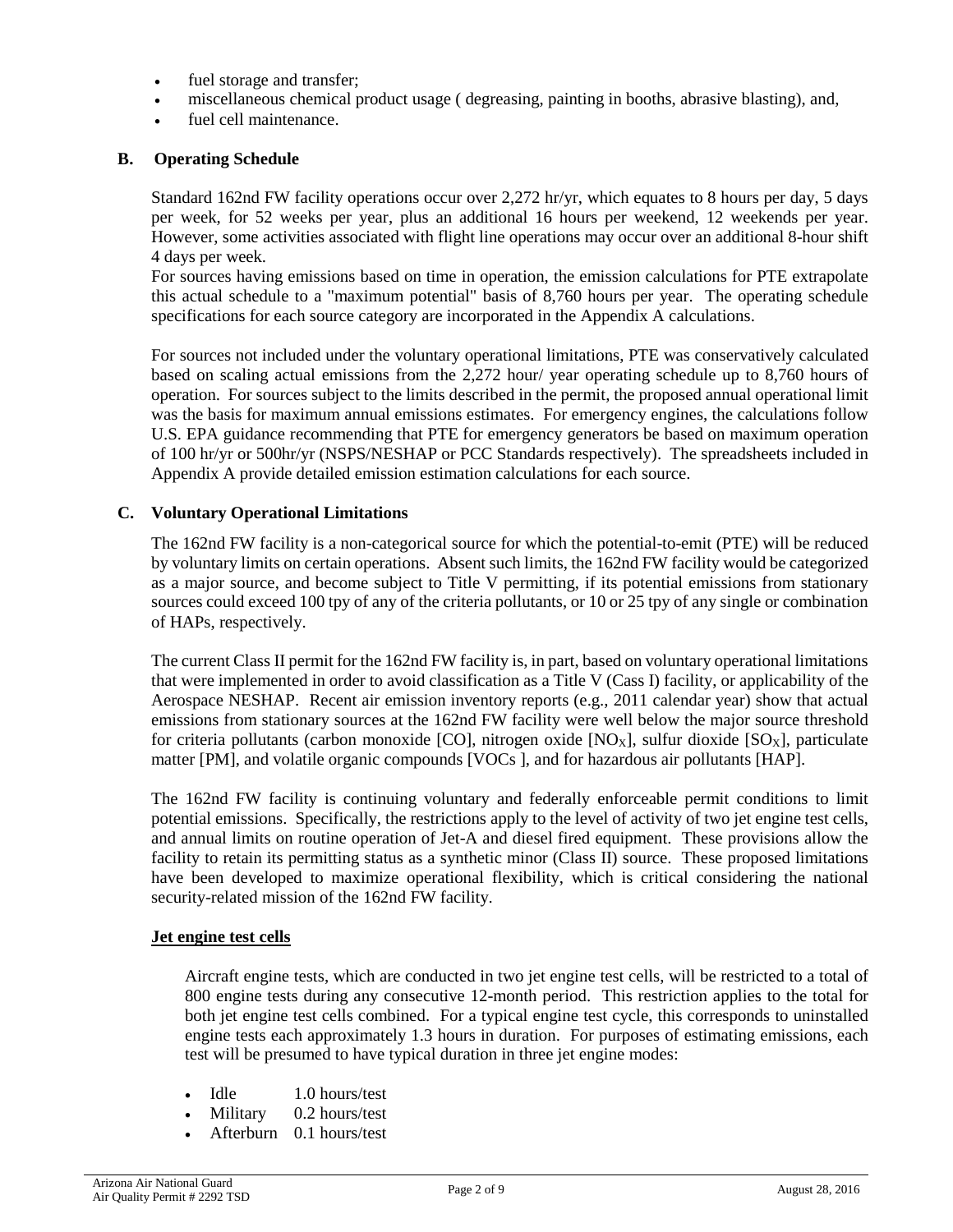- fuel storage and transfer;
- miscellaneous chemical product usage ( degreasing, painting in booths, abrasive blasting), and,
- fuel cell maintenance.

## **B. Operating Schedule**

Standard 162nd FW facility operations occur over 2,272 hr/yr, which equates to 8 hours per day, 5 days per week, for 52 weeks per year, plus an additional 16 hours per weekend, 12 weekends per year. However, some activities associated with flight line operations may occur over an additional 8-hour shift 4 days per week.

For sources having emissions based on time in operation, the emission calculations for PTE extrapolate this actual schedule to a "maximum potential" basis of 8,760 hours per year. The operating schedule specifications for each source category are incorporated in the Appendix A calculations.

For sources not included under the voluntary operational limitations, PTE was conservatively calculated based on scaling actual emissions from the 2,272 hour/ year operating schedule up to 8,760 hours of operation. For sources subject to the limits described in the permit, the proposed annual operational limit was the basis for maximum annual emissions estimates. For emergency engines, the calculations follow U.S. EPA guidance recommending that PTE for emergency generators be based on maximum operation of 100 hr/yr or 500hr/yr (NSPS/NESHAP or PCC Standards respectively). The spreadsheets included in Appendix A provide detailed emission estimation calculations for each source.

## **C. Voluntary Operational Limitations**

The 162nd FW facility is a non-categorical source for which the potential-to-emit (PTE) will be reduced by voluntary limits on certain operations. Absent such limits, the 162nd FW facility would be categorized as a major source, and become subject to Title V permitting, if its potential emissions from stationary sources could exceed 100 tpy of any of the criteria pollutants, or 10 or 25 tpy of any single or combination of HAPs, respectively.

The current Class II permit for the 162nd FW facility is, in part, based on voluntary operational limitations that were implemented in order to avoid classification as a Title V (Cass I) facility, or applicability of the Aerospace NESHAP. Recent air emission inventory reports (e.g., 2011 calendar year) show that actual emissions from stationary sources at the 162nd FW facility were well below the major source threshold for criteria pollutants (carbon monoxide [CO], nitrogen oxide [NO<sub>X</sub>], sulfur dioxide [SO<sub>X</sub>], particulate matter [PM], and volatile organic compounds [VOCs ], and for hazardous air pollutants [HAP].

The 162nd FW facility is continuing voluntary and federally enforceable permit conditions to limit potential emissions. Specifically, the restrictions apply to the level of activity of two jet engine test cells, and annual limits on routine operation of Jet-A and diesel fired equipment. These provisions allow the facility to retain its permitting status as a synthetic minor (Class II) source. These proposed limitations have been developed to maximize operational flexibility, which is critical considering the national security-related mission of the 162nd FW facility.

#### **Jet engine test cells**

Aircraft engine tests, which are conducted in two jet engine test cells, will be restricted to a total of 800 engine tests during any consecutive 12-month period. This restriction applies to the total for both jet engine test cells combined. For a typical engine test cycle, this corresponds to uninstalled engine tests each approximately 1.3 hours in duration. For purposes of estimating emissions, each test will be presumed to have typical duration in three jet engine modes:

- Idle 1.0 hours/test
- Military 0.2 hours/test
- Afterburn 0.1 hours/test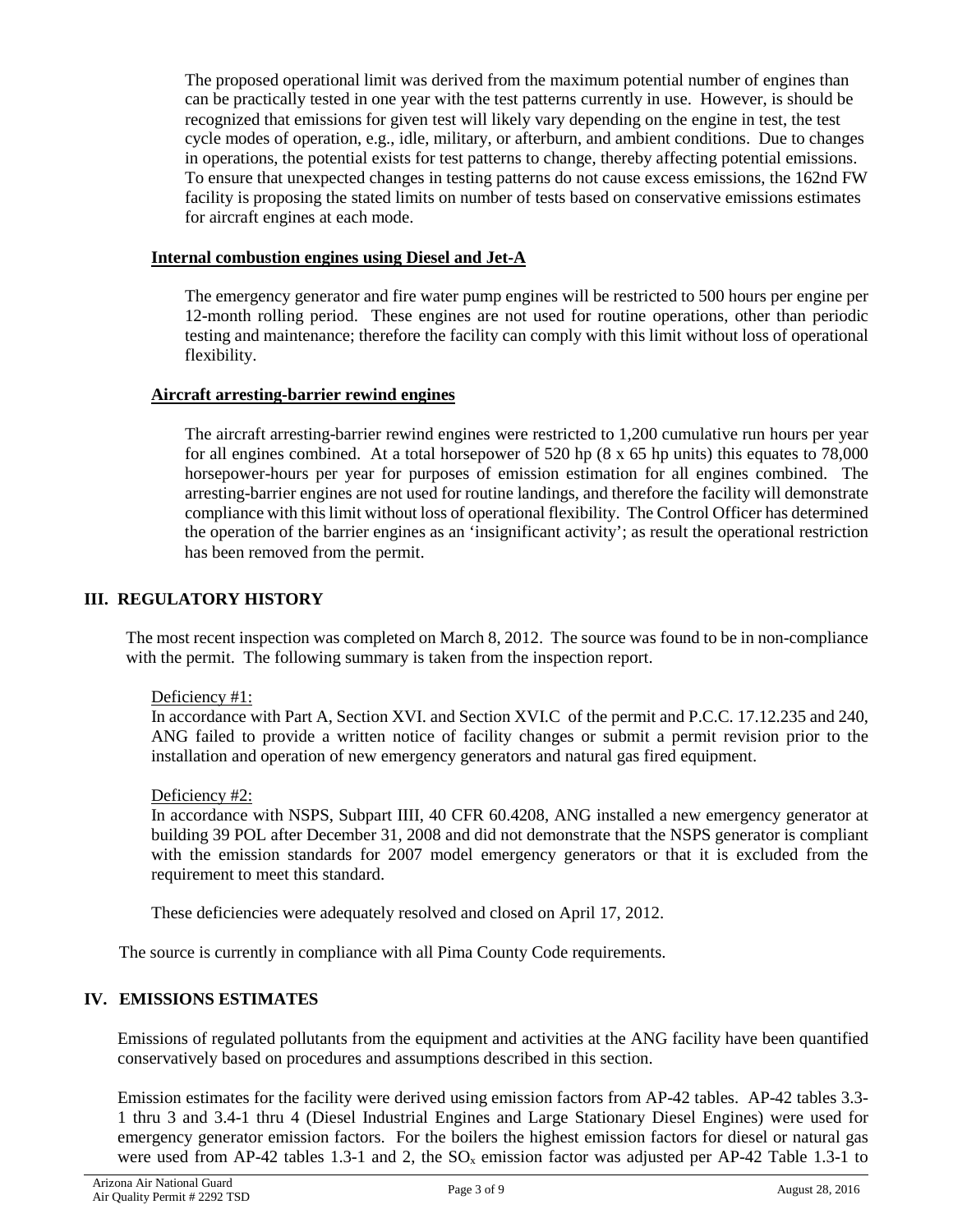The proposed operational limit was derived from the maximum potential number of engines than can be practically tested in one year with the test patterns currently in use. However, is should be recognized that emissions for given test will likely vary depending on the engine in test, the test cycle modes of operation, e.g., idle, military, or afterburn, and ambient conditions. Due to changes in operations, the potential exists for test patterns to change, thereby affecting potential emissions. To ensure that unexpected changes in testing patterns do not cause excess emissions, the 162nd FW facility is proposing the stated limits on number of tests based on conservative emissions estimates for aircraft engines at each mode.

## **Internal combustion engines using Diesel and Jet-A**

The emergency generator and fire water pump engines will be restricted to 500 hours per engine per 12-month rolling period. These engines are not used for routine operations, other than periodic testing and maintenance; therefore the facility can comply with this limit without loss of operational flexibility.

## **Aircraft arresting-barrier rewind engines**

The aircraft arresting-barrier rewind engines were restricted to 1,200 cumulative run hours per year for all engines combined. At a total horsepower of 520 hp (8 x 65 hp units) this equates to 78,000 horsepower-hours per year for purposes of emission estimation for all engines combined. The arresting-barrier engines are not used for routine landings, and therefore the facility will demonstrate compliance with this limit without loss of operational flexibility. The Control Officer has determined the operation of the barrier engines as an 'insignificant activity'; as result the operational restriction has been removed from the permit.

## **III. REGULATORY HISTORY**

The most recent inspection was completed on March 8, 2012. The source was found to be in non-compliance with the permit. The following summary is taken from the inspection report.

#### Deficiency #1:

In accordance with Part A, Section XVI. and Section XVI.C of the permit and P.C.C. 17.12.235 and 240, ANG failed to provide a written notice of facility changes or submit a permit revision prior to the installation and operation of new emergency generators and natural gas fired equipment.

#### Deficiency #2:

In accordance with NSPS, Subpart IIII, 40 CFR 60.4208, ANG installed a new emergency generator at building 39 POL after December 31, 2008 and did not demonstrate that the NSPS generator is compliant with the emission standards for 2007 model emergency generators or that it is excluded from the requirement to meet this standard.

These deficiencies were adequately resolved and closed on April 17, 2012.

The source is currently in compliance with all Pima County Code requirements.

## **IV. EMISSIONS ESTIMATES**

Emissions of regulated pollutants from the equipment and activities at the ANG facility have been quantified conservatively based on procedures and assumptions described in this section.

Emission estimates for the facility were derived using emission factors from AP-42 tables. AP-42 tables 3.3- 1 thru 3 and 3.4-1 thru 4 (Diesel Industrial Engines and Large Stationary Diesel Engines) were used for emergency generator emission factors. For the boilers the highest emission factors for diesel or natural gas were used from AP-42 tables 1.3-1 and 2, the  $SO_x$  emission factor was adjusted per AP-42 Table 1.3-1 to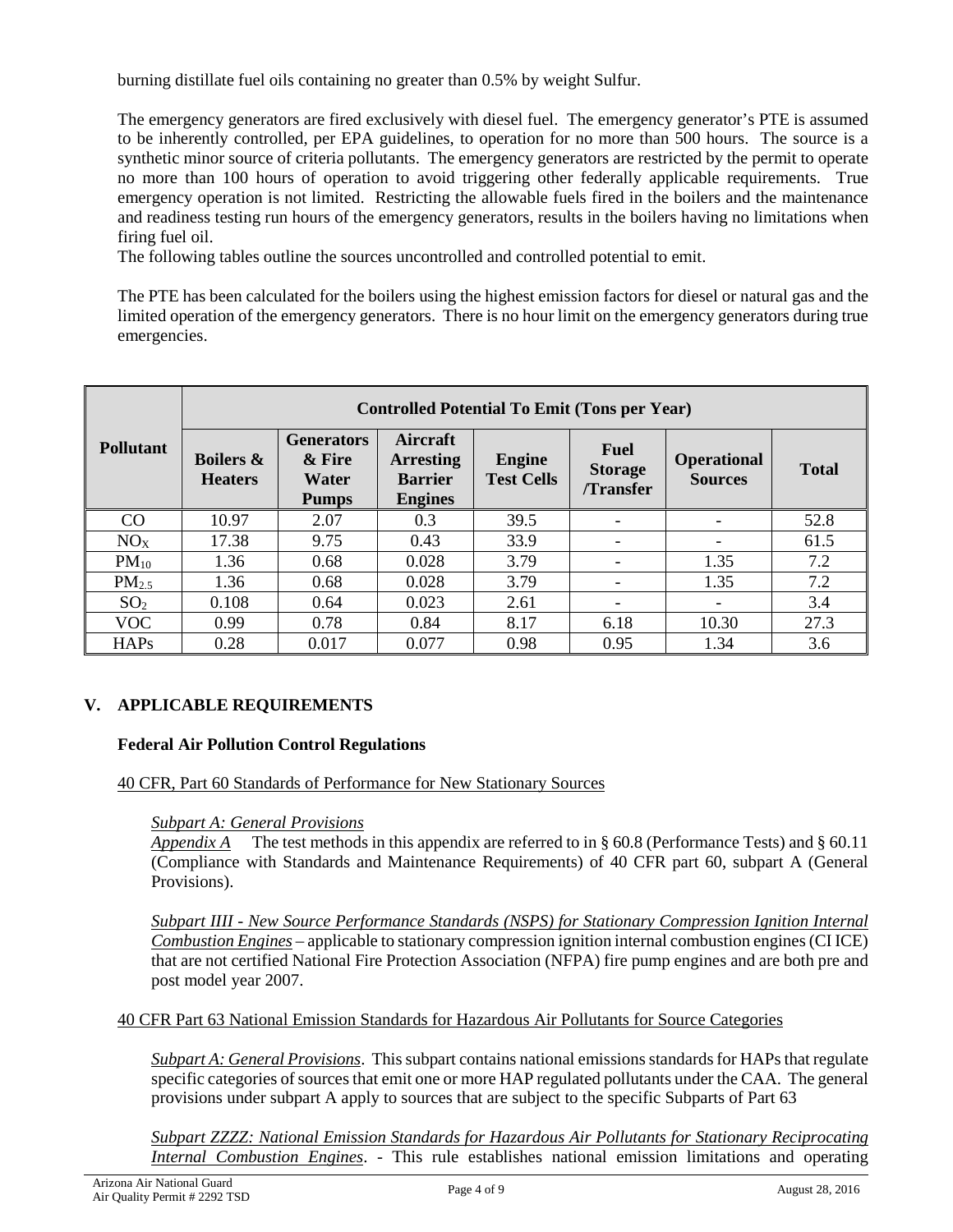burning distillate fuel oils containing no greater than 0.5% by weight Sulfur.

The emergency generators are fired exclusively with diesel fuel. The emergency generator's PTE is assumed to be inherently controlled, per EPA guidelines, to operation for no more than 500 hours. The source is a synthetic minor source of criteria pollutants. The emergency generators are restricted by the permit to operate no more than 100 hours of operation to avoid triggering other federally applicable requirements. True emergency operation is not limited. Restricting the allowable fuels fired in the boilers and the maintenance and readiness testing run hours of the emergency generators, results in the boilers having no limitations when firing fuel oil.

The following tables outline the sources uncontrolled and controlled potential to emit.

The PTE has been calculated for the boilers using the highest emission factors for diesel or natural gas and the limited operation of the emergency generators. There is no hour limit on the emergency generators during true emergencies.

|                  | <b>Controlled Potential To Emit (Tons per Year)</b> |                                                      |                                                                         |                                    |                                                  |                                      |              |  |
|------------------|-----------------------------------------------------|------------------------------------------------------|-------------------------------------------------------------------------|------------------------------------|--------------------------------------------------|--------------------------------------|--------------|--|
| <b>Pollutant</b> | <b>Boilers &amp;</b><br><b>Heaters</b>              | <b>Generators</b><br>& Fire<br>Water<br><b>Pumps</b> | <b>Aircraft</b><br><b>Arresting</b><br><b>Barrier</b><br><b>Engines</b> | <b>Engine</b><br><b>Test Cells</b> | <b>Fuel</b><br><b>Storage</b><br><b>Transfer</b> | <b>Operational</b><br><b>Sources</b> | <b>Total</b> |  |
| CO               | 10.97                                               | 2.07                                                 | 0.3                                                                     | 39.5                               |                                                  |                                      | 52.8         |  |
| NO <sub>X</sub>  | 17.38                                               | 9.75                                                 | 0.43                                                                    | 33.9                               |                                                  |                                      | 61.5         |  |
| $PM_{10}$        | 1.36                                                | 0.68                                                 | 0.028                                                                   | 3.79                               |                                                  | 1.35                                 | 7.2          |  |
| $PM_{2.5}$       | 1.36                                                | 0.68                                                 | 0.028                                                                   | 3.79                               |                                                  | 1.35                                 | 7.2          |  |
| SO <sub>2</sub>  | 0.108                                               | 0.64                                                 | 0.023                                                                   | 2.61                               |                                                  | ۰                                    | 3.4          |  |
| <b>VOC</b>       | 0.99                                                | 0.78                                                 | 0.84                                                                    | 8.17                               | 6.18                                             | 10.30                                | 27.3         |  |
| <b>HAPs</b>      | 0.28                                                | 0.017                                                | 0.077                                                                   | 0.98                               | 0.95                                             | 1.34                                 | 3.6          |  |

# **V. APPLICABLE REQUIREMENTS**

## **Federal Air Pollution Control Regulations**

## 40 CFR, Part 60 Standards of Performance for New Stationary Sources

#### *Subpart A: General Provisions*

*Appendix A* The test methods in this appendix are referred to in § 60.8 (Performance Tests) and § 60.11 (Compliance with Standards and Maintenance Requirements) of 40 CFR part 60, subpart A (General Provisions).

*Subpart IIII - New Source Performance Standards (NSPS) for Stationary Compression Ignition Internal Combustion Engines* – applicable to stationary compression ignition internal combustion engines (CI ICE) that are not certified National Fire Protection Association (NFPA) fire pump engines and are both pre and post model year 2007.

40 CFR Part 63 National Emission Standards for Hazardous Air Pollutants for Source Categories

*Subpart A: General Provisions*. This subpart contains national emissions standards for HAPs that regulate specific categories of sources that emit one or more HAP regulated pollutants under the CAA. The general provisions under subpart A apply to sources that are subject to the specific Subparts of Part 63

*Subpart ZZZZ: National Emission Standards for Hazardous Air Pollutants for Stationary Reciprocating Internal Combustion Engines*. - This rule establishes national emission limitations and operating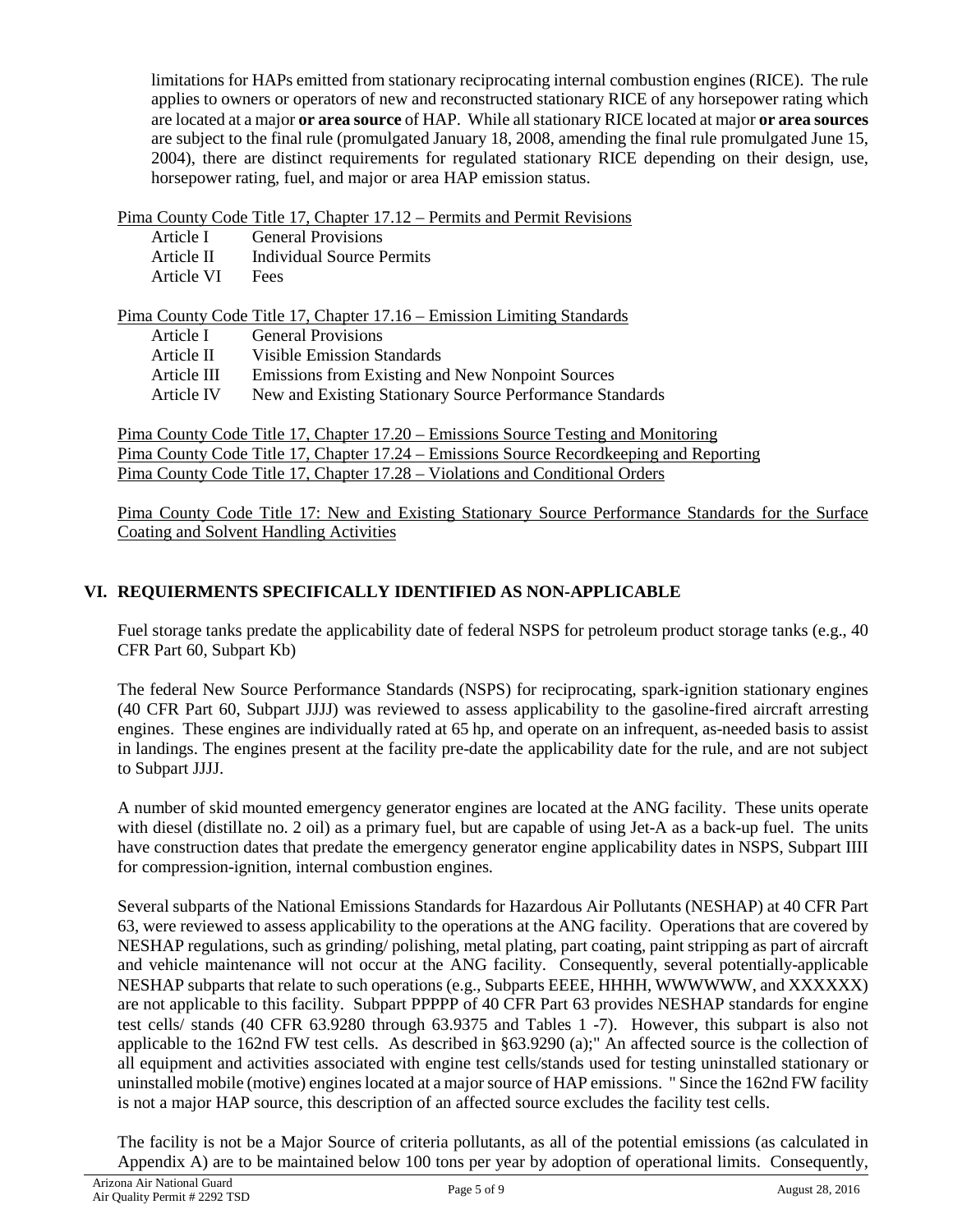limitations for HAPs emitted from stationary reciprocating internal combustion engines (RICE). The rule applies to owners or operators of new and reconstructed stationary RICE of any horsepower rating which are located at a major **or area source** of HAP. While all stationary RICE located at major **or area sources** are subject to the final rule (promulgated January 18, 2008, amending the final rule promulgated June 15, 2004), there are distinct requirements for regulated stationary RICE depending on their design, use, horsepower rating, fuel, and major or area HAP emission status.

Pima County Code Title 17, Chapter 17.12 – Permits and Permit Revisions

| Article I   | <b>General Provisions</b>                                              |
|-------------|------------------------------------------------------------------------|
| Article II  | Individual Source Permits                                              |
| Article VI  | Fees                                                                   |
|             |                                                                        |
|             | Pima County Code Title 17, Chapter 17.16 – Emission Limiting Standards |
| Article I   | <b>General Provisions</b>                                              |
| Article II  | Visible Emission Standards                                             |
| Article III | Emissions from Existing and New Nonpoint Sources                       |
|             |                                                                        |

Article IV New and Existing Stationary Source Performance Standards

Pima County Code Title 17, Chapter 17.20 – Emissions Source Testing and Monitoring Pima County Code Title 17, Chapter 17.24 – Emissions Source Recordkeeping and Reporting Pima County Code Title 17, Chapter 17.28 – Violations and Conditional Orders

Pima County Code Title 17: New and Existing Stationary Source Performance Standards for the Surface Coating and Solvent Handling Activities

# **VI. REQUIERMENTS SPECIFICALLY IDENTIFIED AS NON-APPLICABLE**

Fuel storage tanks predate the applicability date of federal NSPS for petroleum product storage tanks (e.g., 40 CFR Part 60, Subpart Kb)

The federal New Source Performance Standards (NSPS) for reciprocating, spark-ignition stationary engines (40 CFR Part 60, Subpart JJJJ) was reviewed to assess applicability to the gasoline-fired aircraft arresting engines. These engines are individually rated at 65 hp, and operate on an infrequent, as-needed basis to assist in landings. The engines present at the facility pre-date the applicability date for the rule, and are not subject to Subpart JJJJ.

A number of skid mounted emergency generator engines are located at the ANG facility. These units operate with diesel (distillate no. 2 oil) as a primary fuel, but are capable of using Jet-A as a back-up fuel. The units have construction dates that predate the emergency generator engine applicability dates in NSPS, Subpart IIII for compression-ignition, internal combustion engines.

Several subparts of the National Emissions Standards for Hazardous Air Pollutants (NESHAP) at 40 CFR Part 63, were reviewed to assess applicability to the operations at the ANG facility. Operations that are covered by NESHAP regulations, such as grinding/ polishing, metal plating, part coating, paint stripping as part of aircraft and vehicle maintenance will not occur at the ANG facility. Consequently, several potentially-applicable NESHAP subparts that relate to such operations (e.g., Subparts EEEE, HHHH, WWWWWW, and XXXXXX) are not applicable to this facility. Subpart PPPPP of 40 CFR Part 63 provides NESHAP standards for engine test cells/ stands (40 CFR 63.9280 through 63.9375 and Tables 1 -7). However, this subpart is also not applicable to the 162nd FW test cells. As described in §63.9290 (a);" An affected source is the collection of all equipment and activities associated with engine test cells/stands used for testing uninstalled stationary or uninstalled mobile (motive) engines located at a major source of HAP emissions. " Since the 162nd FW facility is not a major HAP source, this description of an affected source excludes the facility test cells.

The facility is not be a Major Source of criteria pollutants, as all of the potential emissions (as calculated in Appendix A) are to be maintained below 100 tons per year by adoption of operational limits. Consequently,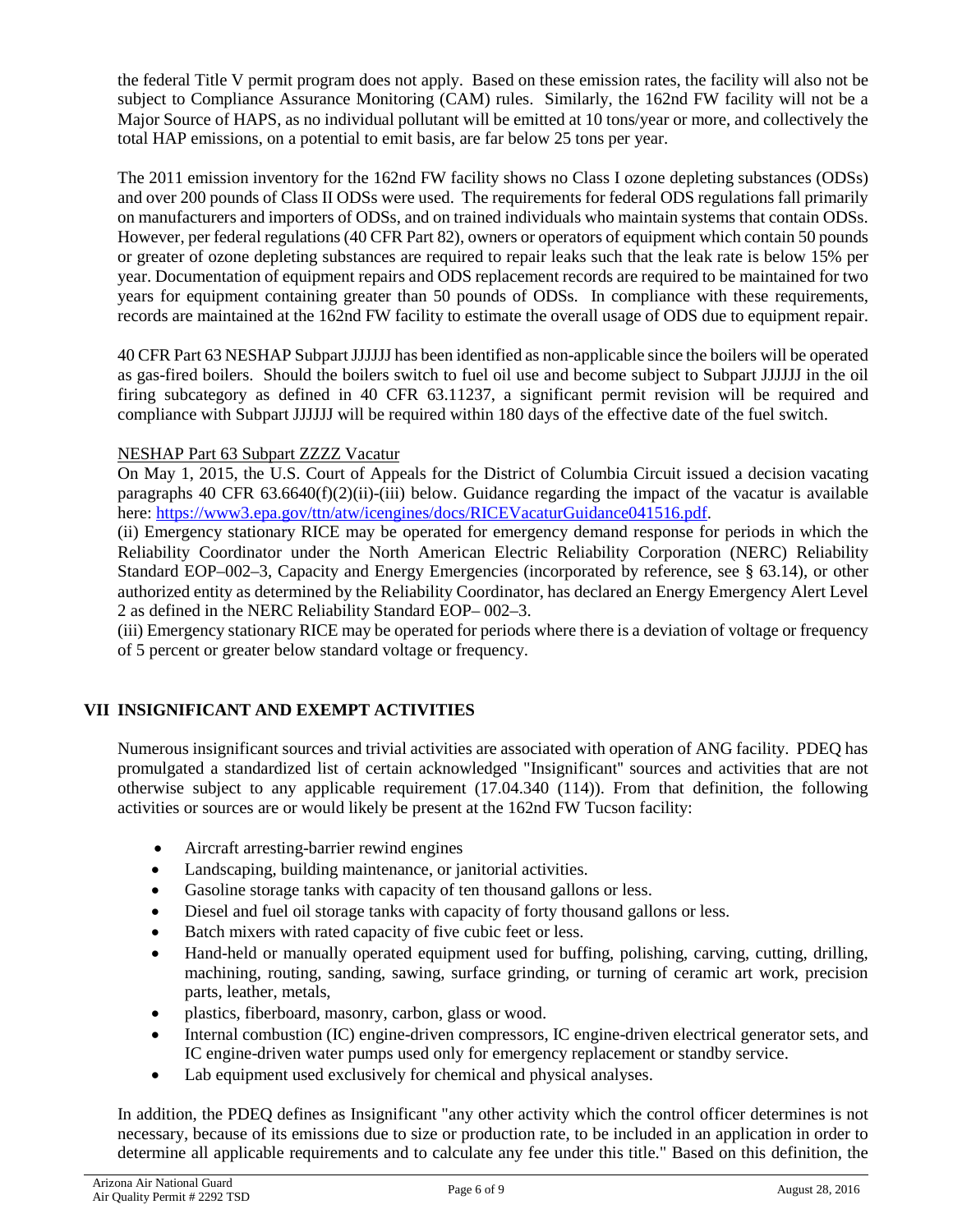the federal Title V permit program does not apply. Based on these emission rates, the facility will also not be subject to Compliance Assurance Monitoring (CAM) rules. Similarly, the 162nd FW facility will not be a Major Source of HAPS, as no individual pollutant will be emitted at 10 tons/year or more, and collectively the total HAP emissions, on a potential to emit basis, are far below 25 tons per year.

The 2011 emission inventory for the 162nd FW facility shows no Class I ozone depleting substances (ODSs) and over 200 pounds of Class II ODSs were used. The requirements for federal ODS regulations fall primarily on manufacturers and importers of ODSs, and on trained individuals who maintain systems that contain ODSs. However, per federal regulations (40 CFR Part 82), owners or operators of equipment which contain 50 pounds or greater of ozone depleting substances are required to repair leaks such that the leak rate is below 15% per year. Documentation of equipment repairs and ODS replacement records are required to be maintained for two years for equipment containing greater than 50 pounds of ODSs. In compliance with these requirements, records are maintained at the 162nd FW facility to estimate the overall usage of ODS due to equipment repair.

40 CFR Part 63 NESHAP Subpart JJJJJJ has been identified as non-applicable since the boilers will be operated as gas-fired boilers. Should the boilers switch to fuel oil use and become subject to Subpart JJJJJJ in the oil firing subcategory as defined in 40 CFR 63.11237, a significant permit revision will be required and compliance with Subpart JJJJJJ will be required within 180 days of the effective date of the fuel switch.

## NESHAP Part 63 Subpart ZZZZ Vacatur

On May 1, 2015, the U.S. Court of Appeals for the District of Columbia Circuit issued a decision vacating paragraphs 40 CFR  $63.6640(f)(2)(ii)$ -(iii) below. Guidance regarding the impact of the vacatur is available here: [https://www3.epa.gov/ttn/atw/icengines/docs/RICEVacaturGuidance041516.pdf.](https://www3.epa.gov/ttn/atw/icengines/docs/RICEVacaturGuidance041516.pdf)

(ii) Emergency stationary RICE may be operated for emergency demand response for periods in which the Reliability Coordinator under the North American Electric Reliability Corporation (NERC) Reliability Standard EOP–002–3, Capacity and Energy Emergencies (incorporated by reference, see § 63.14), or other authorized entity as determined by the Reliability Coordinator, has declared an Energy Emergency Alert Level 2 as defined in the NERC Reliability Standard EOP– 002–3.

(iii) Emergency stationary RICE may be operated for periods where there is a deviation of voltage or frequency of 5 percent or greater below standard voltage or frequency.

# **VII INSIGNIFICANT AND EXEMPT ACTIVITIES**

Numerous insignificant sources and trivial activities are associated with operation of ANG facility. PDEQ has promulgated a standardized list of certain acknowledged "Insignificant'' sources and activities that are not otherwise subject to any applicable requirement (17.04.340 (114)). From that definition, the following activities or sources are or would likely be present at the 162nd FW Tucson facility:

- Aircraft arresting-barrier rewind engines
- Landscaping, building maintenance, or janitorial activities.
- Gasoline storage tanks with capacity of ten thousand gallons or less.
- Diesel and fuel oil storage tanks with capacity of forty thousand gallons or less.
- Batch mixers with rated capacity of five cubic feet or less.
- Hand-held or manually operated equipment used for buffing, polishing, carving, cutting, drilling, machining, routing, sanding, sawing, surface grinding, or turning of ceramic art work, precision parts, leather, metals,
- plastics, fiberboard, masonry, carbon, glass or wood.
- Internal combustion (IC) engine-driven compressors, IC engine-driven electrical generator sets, and IC engine-driven water pumps used only for emergency replacement or standby service.
- Lab equipment used exclusively for chemical and physical analyses.

In addition, the PDEQ defines as Insignificant "any other activity which the control officer determines is not necessary, because of its emissions due to size or production rate, to be included in an application in order to determine all applicable requirements and to calculate any fee under this title." Based on this definition, the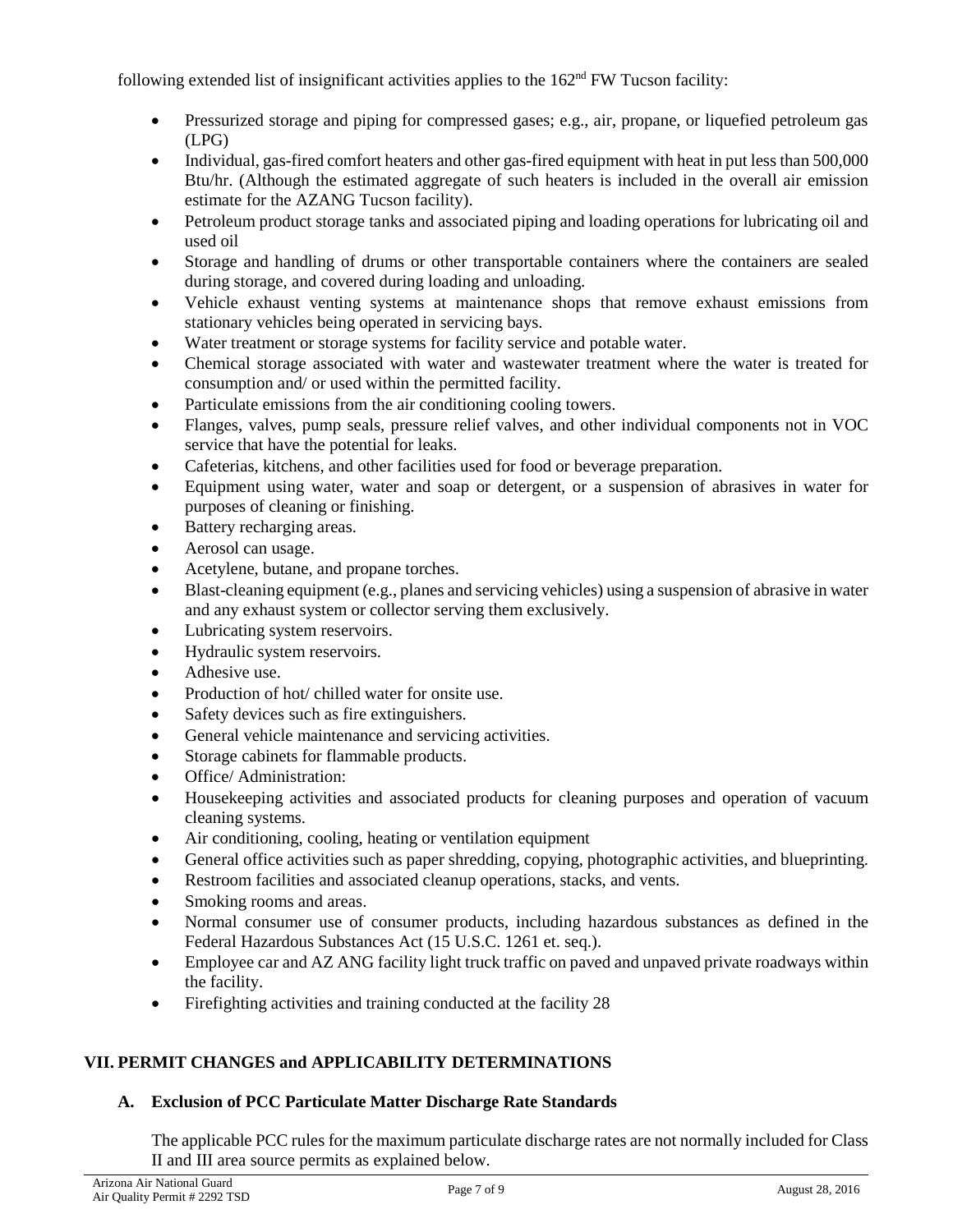following extended list of insignificant activities applies to the  $162<sup>nd</sup>$  FW Tucson facility:

- Pressurized storage and piping for compressed gases; e.g., air, propane, or liquefied petroleum gas (LPG)
- Individual, gas-fired comfort heaters and other gas-fired equipment with heat in put less than 500,000 Btu/hr. (Although the estimated aggregate of such heaters is included in the overall air emission estimate for the AZANG Tucson facility).
- Petroleum product storage tanks and associated piping and loading operations for lubricating oil and used oil
- Storage and handling of drums or other transportable containers where the containers are sealed during storage, and covered during loading and unloading.
- Vehicle exhaust venting systems at maintenance shops that remove exhaust emissions from stationary vehicles being operated in servicing bays.
- Water treatment or storage systems for facility service and potable water.
- Chemical storage associated with water and wastewater treatment where the water is treated for consumption and/ or used within the permitted facility.
- Particulate emissions from the air conditioning cooling towers.
- Flanges, valves, pump seals, pressure relief valves, and other individual components not in VOC service that have the potential for leaks.
- Cafeterias, kitchens, and other facilities used for food or beverage preparation.
- Equipment using water, water and soap or detergent, or a suspension of abrasives in water for purposes of cleaning or finishing.
- Battery recharging areas.
- Aerosol can usage.
- Acetylene, butane, and propane torches.
- Blast-cleaning equipment (e.g., planes and servicing vehicles) using a suspension of abrasive in water and any exhaust system or collector serving them exclusively.
- Lubricating system reservoirs.
- Hydraulic system reservoirs.
- Adhesive use.
- Production of hot/ chilled water for onsite use.
- Safety devices such as fire extinguishers.
- General vehicle maintenance and servicing activities.
- Storage cabinets for flammable products.
- Office/Administration:
- Housekeeping activities and associated products for cleaning purposes and operation of vacuum cleaning systems.
- Air conditioning, cooling, heating or ventilation equipment
- General office activities such as paper shredding, copying, photographic activities, and blueprinting.
- Restroom facilities and associated cleanup operations, stacks, and vents.
- Smoking rooms and areas.
- Normal consumer use of consumer products, including hazardous substances as defined in the Federal Hazardous Substances Act (15 U.S.C. 1261 et. seq.).
- Employee car and AZ ANG facility light truck traffic on paved and unpaved private roadways within the facility.
- Firefighting activities and training conducted at the facility 28

# **VII. PERMIT CHANGES and APPLICABILITY DETERMINATIONS**

## **A. Exclusion of PCC Particulate Matter Discharge Rate Standards**

The applicable PCC rules for the maximum particulate discharge rates are not normally included for Class II and III area source permits as explained below.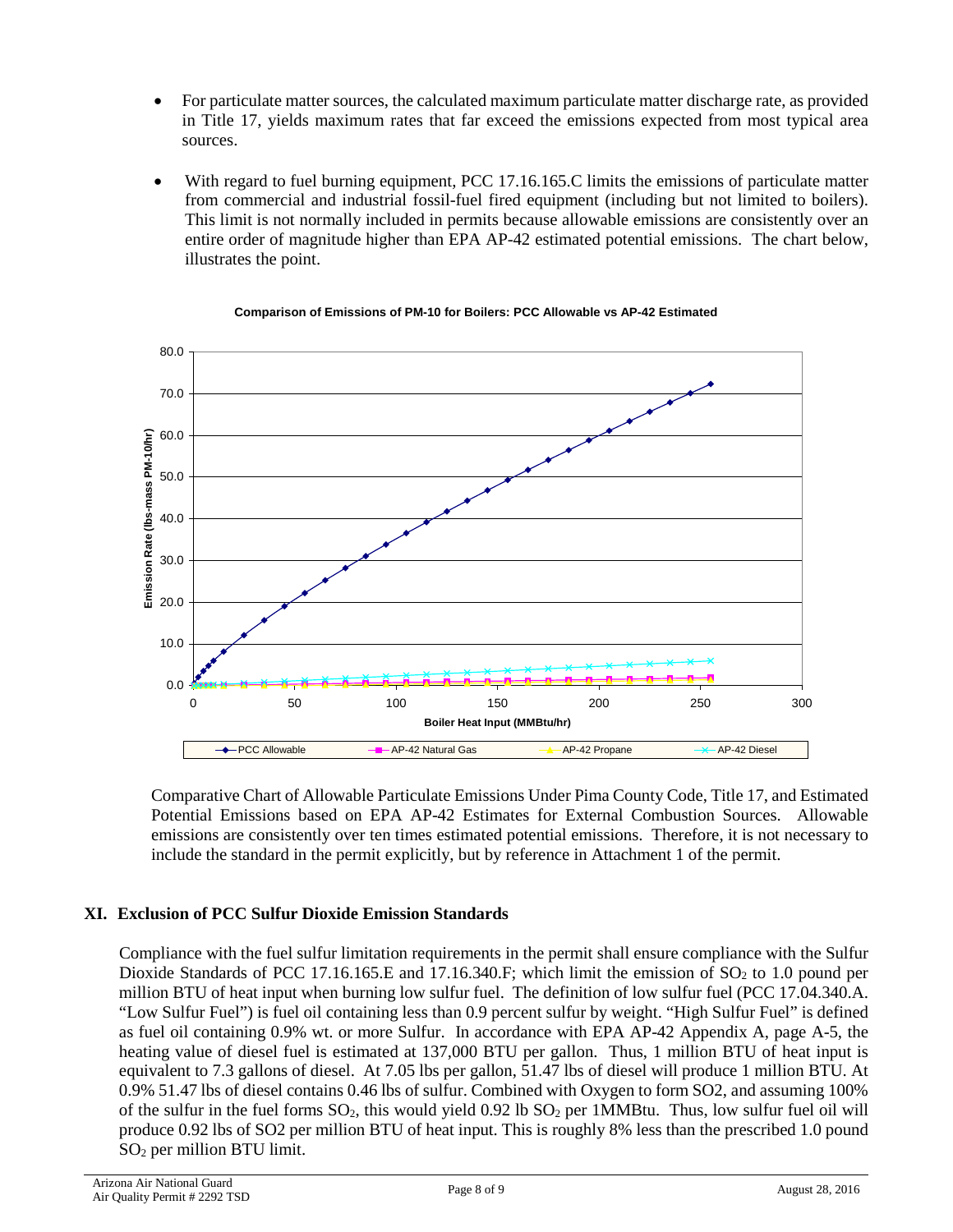- For particulate matter sources, the calculated maximum particulate matter discharge rate, as provided in Title 17, yields maximum rates that far exceed the emissions expected from most typical area sources.
- With regard to fuel burning equipment, PCC 17.16.165.C limits the emissions of particulate matter from commercial and industrial fossil-fuel fired equipment (including but not limited to boilers). This limit is not normally included in permits because allowable emissions are consistently over an entire order of magnitude higher than EPA AP-42 estimated potential emissions. The chart below, illustrates the point.



#### **Comparison of Emissions of PM-10 for Boilers: PCC Allowable vs AP-42 Estimated**

Comparative Chart of Allowable Particulate Emissions Under Pima County Code, Title 17, and Estimated Potential Emissions based on EPA AP-42 Estimates for External Combustion Sources. Allowable emissions are consistently over ten times estimated potential emissions. Therefore, it is not necessary to include the standard in the permit explicitly, but by reference in Attachment 1 of the permit.

# **XI. Exclusion of PCC Sulfur Dioxide Emission Standards**

Compliance with the fuel sulfur limitation requirements in the permit shall ensure compliance with the Sulfur Dioxide Standards of PCC 17.16.165.E and 17.16.340.F; which limit the emission of  $SO<sub>2</sub>$  to 1.0 pound per million BTU of heat input when burning low sulfur fuel. The definition of low sulfur fuel (PCC 17.04.340.A. "Low Sulfur Fuel") is fuel oil containing less than 0.9 percent sulfur by weight. "High Sulfur Fuel" is defined as fuel oil containing 0.9% wt. or more Sulfur. In accordance with EPA AP-42 Appendix A, page A-5, the heating value of diesel fuel is estimated at 137,000 BTU per gallon. Thus, 1 million BTU of heat input is equivalent to 7.3 gallons of diesel. At 7.05 lbs per gallon, 51.47 lbs of diesel will produce 1 million BTU. At 0.9% 51.47 lbs of diesel contains 0.46 lbs of sulfur. Combined with Oxygen to form SO2, and assuming 100% of the sulfur in the fuel forms  $SO_2$ , this would yield 0.92 lb  $SO_2$  per 1MMBtu. Thus, low sulfur fuel oil will produce 0.92 lbs of SO2 per million BTU of heat input. This is roughly 8% less than the prescribed 1.0 pound SO2 per million BTU limit.